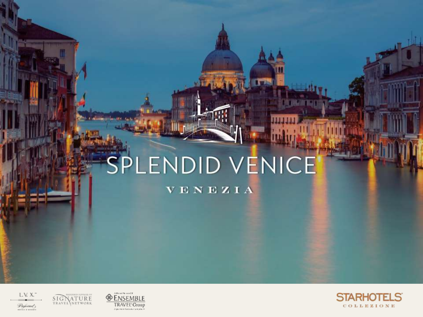# SPLENDID VENICE

**VENEZIA** 









 $\widetilde{\underset{\text{TRAVEL}}{\text{NATTURE}}}\mathbf{NATURE}^{\text{neutawa}}$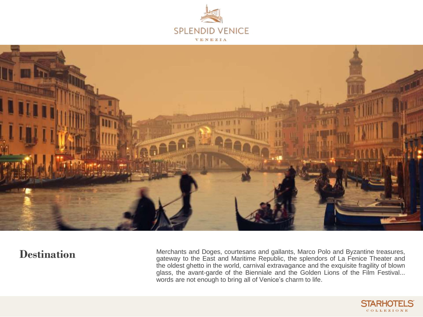



## **Destination**

Merchants and Doges, courtesans and gallants, Marco Polo and Byzantine treasures, gateway to the East and Maritime Republic, the splendors of La Fenice Theater and the oldest ghetto in the world, carnival extravagance and the exquisite fragility of blown glass, the avant -garde of the Bienniale and the Golden Lions of the Film Festival... words are not enough to bring all of Venice's charm to life .

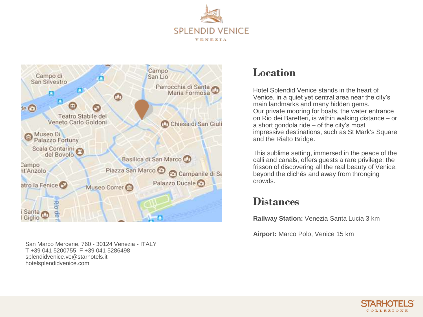



San Marco Mercerie, 760 - 30124 Venezia - ITALY T +39 041 5200755 F +39 041 5286498 splendidvenice.ve@starhotels.it hotelsplendidvenice.com

### **Location**

Hotel Splendid Venice stands in the heart of Venice, in a quiet yet central area near the city's main landmarks and many hidden gems. Our private mooring for boats, the water entrance on Rio dei Baretteri, is within walking distance – or a short gondola ride – of the city's most impressive destinations, such as St Mark's Square and the Rialto Bridge.

This sublime setting, immersed in the peace of the calli and canals, offers guests a rare privilege: the frisson of discovering all the real beauty of Venice, beyond the clichés and away from thronging crowds.

## **Distances**

**Railway Station:** Venezia Santa Lucia 3 km

**Airport:** Marco Polo, Venice 15 km

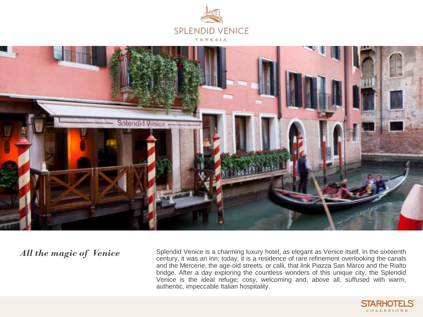



#### *All the magic of Venice*

Splendid Venice is a charming luxury hotel, as elegant as Venice itself. In the sixteenth century, it was an inn; today, it is a residence of rare refinement overlooking the canals and the Mercerie, the age-old streets, or calli, that link Piazza San Marco and the Rialto bridge. After a day exploring the countless wonders of this unique city, the Splendid Venice is the ideal refuge; cosy, welcoming and, above all, suffused with warm, authentic, impeccable Italian hospitality.

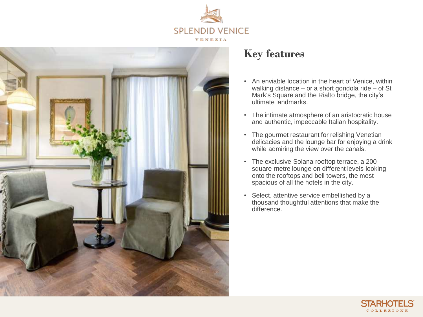



## **Key features**

- An enviable location in the heart of Venice, within walking distance – or a short gondola ride – of St Mark's Square and the Rialto bridge, the city's ultimate landmarks.
- The intimate atmosphere of an aristocratic house and authentic, impeccable Italian hospitality.
- The gourmet restaurant for relishing Venetian delicacies and the lounge bar for enjoying a drink while admiring the view over the canals.
- The exclusive Solana rooftop terrace, a 200 square-metre lounge on different levels looking onto the rooftops and bell towers, the most spacious of all the hotels in the city.
- Select, attentive service embellished by a thousand thoughtful attentions that make the difference.

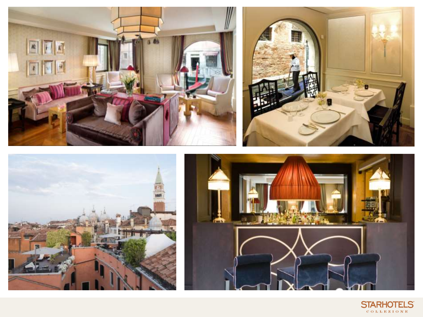







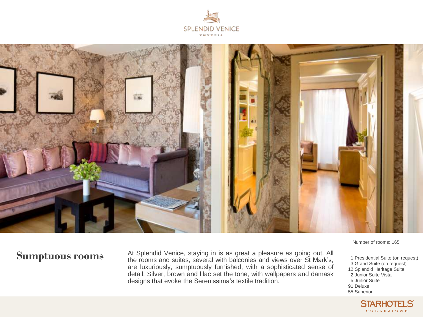



## **Sumptuous rooms**

At Splendid Venice, staying in is as great a pleasure as going out. All the rooms and suites, several with balconies and views over St Mark's, are luxuriously, sumptuously furnished, with a sophisticated sense of detail. Silver, brown and lilac set the tone, with wallpapers and damask designs that evoke the Serenissima's textile tradition.

Number of rooms: 165

 1 Presidential Suite (on request) 3 Grand Suite (on request) 12 Splendid Heritage Suite 2 Junior Suite Vista 5 Junior Suite 91 Deluxe 55 Superior

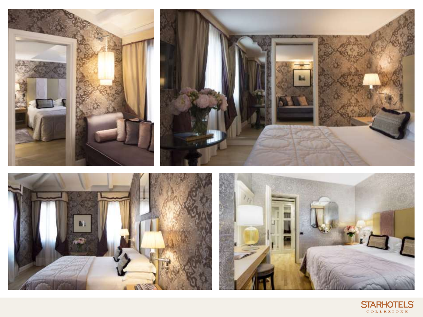







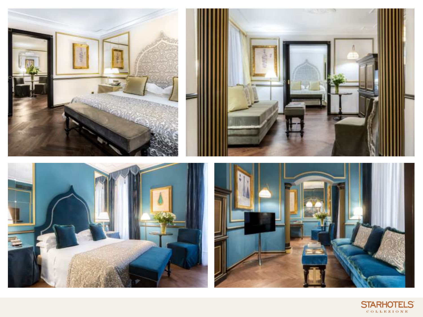

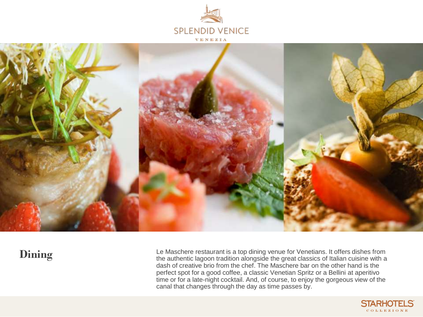



**Dining**

Le Maschere restaurant is a top dining venue for Venetians . It offers dishes from the authentic lagoon tradition alongside the great classics of Italian cuisine with a dash of creative brio from the chef. The Maschere bar on the other hand is the perfect spot for a good coffee, a classic Venetian Spritz or a Bellini at aperitivo time or for a late-night cocktail. And, of course, to enjoy the gorgeous view of the canal that changes through the day as time passes by.

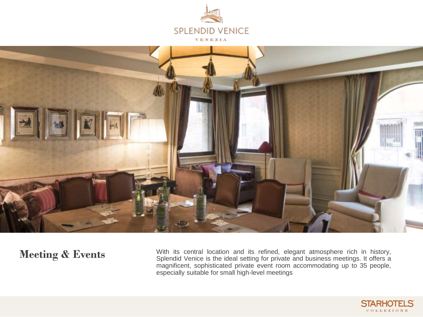



**Meeting & Events**

With its central location and its refined, elegant atmosphere rich in history, Splendid Venice is the ideal setting for private and business meetings. It offers a magnificent, sophisticated private event room accommodating up to 35 people, especially suitable for small high-level meetings

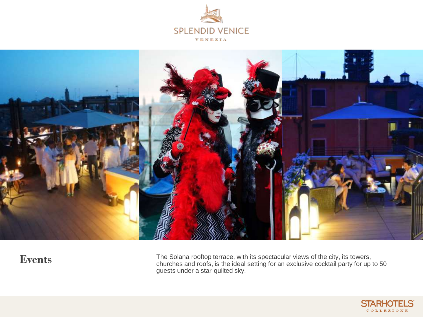



## **Events**

The Solana rooftop terrace, with its spectacular views of the city, its towers, churches and roofs, is the ideal setting for an exclusive cocktail party for up to 50 guests under a star -quilted sky.

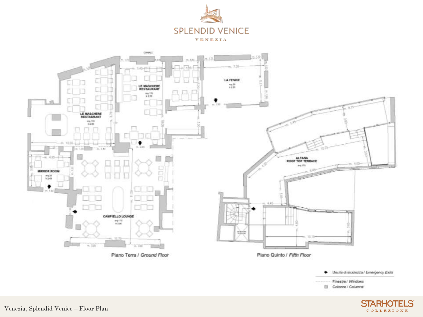



- + Uscite di sicurezza / Emergency Exits
- Finestre/ Windows **El Colonne / Columns**

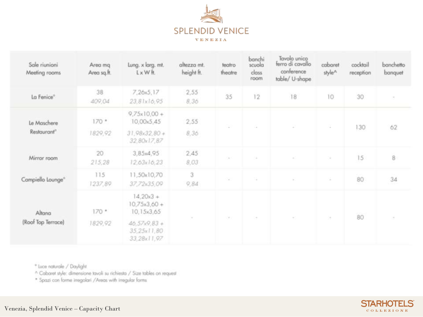

| Sale riunioni<br>Meeting rooms         | Area mg<br>Area sq.ft. | Lung. x larg. mt.<br>LxWft.                                                              | altezza mt.<br>height ft. | teatro<br>theatre | banchi<br>scuola<br>class<br>room | Tavolo unico<br>ferro di cavallo<br>conference<br>table/ U-shape | cabaret<br>style <sup>n</sup> | cocktail<br>reception | banchetto<br>banquet |
|----------------------------------------|------------------------|------------------------------------------------------------------------------------------|---------------------------|-------------------|-----------------------------------|------------------------------------------------------------------|-------------------------------|-----------------------|----------------------|
| La Fenice <sup>®</sup>                 | 38<br>409,04           | 7,26x5,17<br>23,81x16,95                                                                 | 2,55<br>8.36              | 35                | 12                                | 18                                                               | 10                            | 30                    | $\sim$               |
| Le Maschere<br>Restaurant <sup>®</sup> | $170*$<br>1829.92      | $9,75 \times 10,00+$<br>10,00x5,45<br>$31,98\times32,80+$<br>32,80x17,87                 | 2,55<br>8,36              | ×                 |                                   |                                                                  | ÷                             | 130                   | 62                   |
| Mirror room                            | 20<br>215,28           | 3,85x4,95<br>12,63x16,23                                                                 | 2,45<br>8,03              | o.                |                                   |                                                                  | ÷                             | 15                    | 8                    |
| Campiello Lounge <sup>®</sup>          | 115<br>1237,89         | 11,50x10,70<br>37,72x35,09                                                               | 3<br>9,84                 | a.                | 14                                | W.                                                               | ÷                             | 80                    | 34                   |
| Altana<br>(Roof Top Terrace)           | $170*$<br>1829,92      | $14,20x3+$<br>$10,75x3,60+$<br>10,15x3,65<br>$46,57x9,83+$<br>35,25x11,80<br>33,28x11,97 | ia.                       | $\sim$            | $\sim$                            | w.                                                               | $\sim$                        | 80                    | ×                    |

\* Luce naturale / Daylight

^ Cabaret style: dimensione tavoli su richiesta / Size tables on request

\* Spazi con forme irregalari / Areas with irregular forms